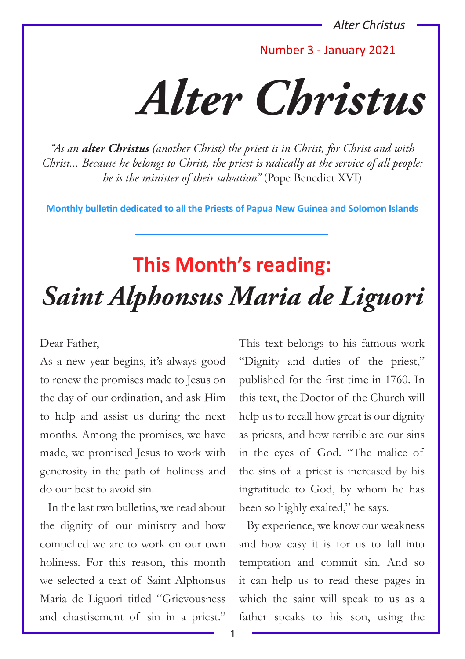Number 3 - January 2021

*Alter Christus*

*"As an alter Christus (another Christ) the priest is in Christ, for Christ and with Christ... Because he belongs to Christ, the priest is radically at the service of all people: he is the minister of their salvation"* (Pope Benedict XVI)

**Monthly bulletin dedicated to all the Priests of Papua New Guinea and Solomon Islands**

# **This Month's reading:** *Saint Alphonsus Maria de Liguori*

#### Dear Father,

As a new year begins, it's always good to renew the promises made to Jesus on the day of our ordination, and ask Him to help and assist us during the next months. Among the promises, we have made, we promised Jesus to work with generosity in the path of holiness and do our best to avoid sin.

In the last two bulletins, we read about the dignity of our ministry and how compelled we are to work on our own holiness. For this reason, this month we selected a text of Saint Alphonsus Maria de Liguori titled "Grievousness and chastisement of sin in a priest." This text belongs to his famous work "Dignity and duties of the priest," published for the first time in 1760. In this text, the Doctor of the Church will help us to recall how great is our dignity as priests, and how terrible are our sins in the eyes of God. "The malice of the sins of a priest is increased by his ingratitude to God, by whom he has been so highly exalted," he says.

By experience, we know our weakness and how easy it is for us to fall into temptation and commit sin. And so it can help us to read these pages in which the saint will speak to us as a father speaks to his son, using the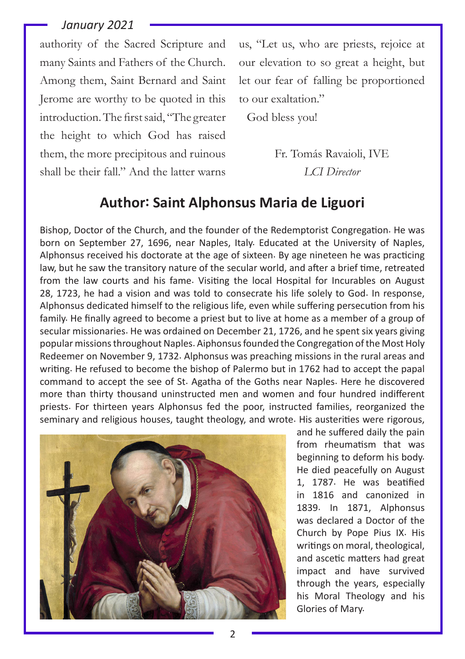authority of the Sacred Scripture and many Saints and Fathers of the Church. Among them, Saint Bernard and Saint Jerome are worthy to be quoted in this introduction. The first said, "The greater the height to which God has raised them, the more precipitous and ruinous shall be their fall." And the latter warns

us, "Let us, who are priests, rejoice at our elevation to so great a height, but let our fear of falling be proportioned to our exaltation."

God bless you!

Fr. Tomás Ravaioli, IVE *LCI Director*

# **Author: Saint Alphonsus Maria de Liguori**

Bishop, Doctor of the Church, and the founder of the Redemptorist Congregation. He was born on September 27, 1696, near Naples, Italy. Educated at the University of Naples, Alphonsus received his doctorate at the age of sixteen. By age nineteen he was practicing law, but he saw the transitory nature of the secular world, and after a brief time, retreated from the law courts and his fame. Visiting the local Hospital for Incurables on August 28, 1723, he had a vision and was told to consecrate his life solely to God. In response, Alphonsus dedicated himself to the religious life, even while suffering persecution from his family. He finally agreed to become a priest but to live at home as a member of a group of secular missionaries. He was ordained on December 21, 1726, and he spent six years giving popular missions throughout Naples. Aiphonsus founded the Congregation of the Most Holy Redeemer on November 9, 1732. Alphonsus was preaching missions in the rural areas and writing. He refused to become the bishop of Palermo but in 1762 had to accept the papal command to accept the see of St. Agatha of the Goths near Naples. Here he discovered more than thirty thousand uninstructed men and women and four hundred indifferent priests. For thirteen years Alphonsus fed the poor, instructed families, reorganized the seminary and religious houses, taught theology, and wrote. His austerities were rigorous,



and he suffered daily the pain from rheumatism that was beginning to deform his body. He died peacefully on August 1, 1787. He was beatified in 1816 and canonized in 1839. In 1871, Alphonsus was declared a Doctor of the Church by Pope Pius IX. His writings on moral, theological, and ascetic matters had great impact and have survived through the years, especially his Moral Theology and his Glories of Mary.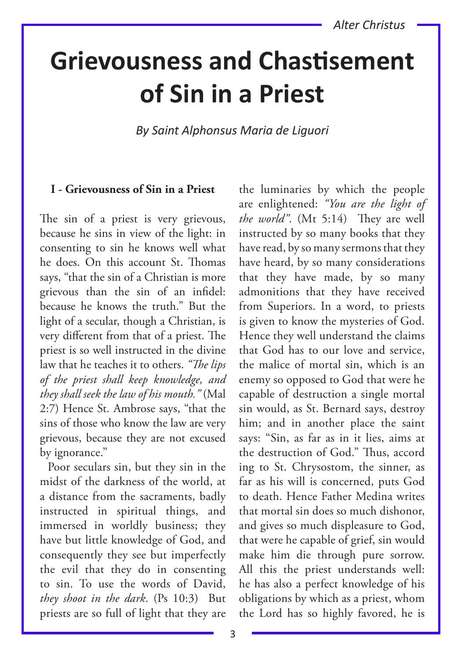# **Grievousness and Chastisement of Sin in a Priest**

*By Saint Alphonsus Maria de Liguori*

## **I - Grievousness of Sin in a Priest**

The sin of a priest is very grievous, because he sins in view of the light: in consenting to sin he knows well what he does. On this account St. Thomas says, "that the sin of a Christian is more grievous than the sin of an infidel: because he knows the truth." But the light of a secular, though a Christian, is very different from that of a priest. The priest is so well instructed in the divine law that he teaches it to others. *"The lips of the priest shall keep knowledge, and they shall seek the law of his mouth."* (Mal 2:7) Hence St. Ambrose says, "that the sins of those who know the law are very grievous, because they are not excused by ignorance."

Poor seculars sin, but they sin in the midst of the darkness of the world, at a distance from the sacraments, badly instructed in spiritual things, and immersed in worldly business; they have but little knowledge of God, and consequently they see but imperfectly the evil that they do in consenting to sin. To use the words of David, *they shoot in the dark*. (Ps 10:3) But priests are so full of light that they are

the luminaries by which the people are enlightened: *"You are the light of the world"*. (Mt 5:14) They are well instructed by so many books that they have read, by so many sermons that they have heard, by so many considerations that they have made, by so many admonitions that they have received from Superiors. In a word, to priests is given to know the mysteries of God. Hence they well understand the claims that God has to our love and service, the malice of mortal sin, which is an enemy so opposed to God that were he capable of destruction a single mortal sin would, as St. Bernard says, destroy him; and in another place the saint says: "Sin, as far as in it lies, aims at the destruction of God." Thus, accord ing to St. Chrysostom, the sinner, as far as his will is concerned, puts God to death. Hence Father Medina writes that mortal sin does so much dishonor, and gives so much displeasure to God, that were he capable of grief, sin would make him die through pure sorrow. All this the priest understands well: he has also a perfect knowledge of his obligations by which as a priest, whom the Lord has so highly favored, he is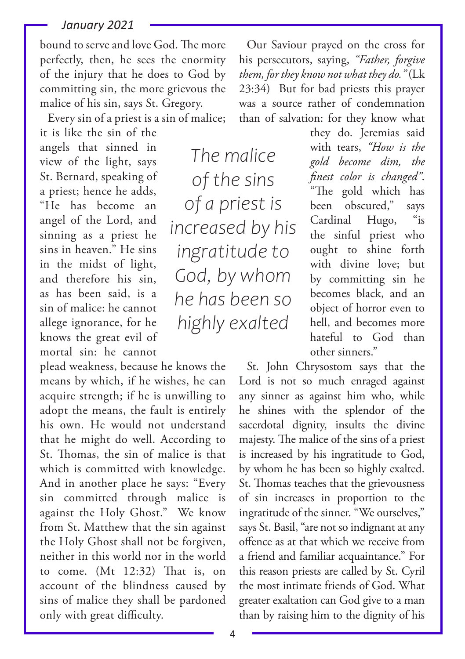bound to serve and love God. The more perfectly, then, he sees the enormity of the injury that he does to God by committing sin, the more grievous the malice of his sin, says St. Gregory.

Every sin of a priest is a sin of malice;

it is like the sin of the angels that sinned in view of the light, says St. Bernard, speaking of a priest; hence he adds, "He has become an angel of the Lord, and sinning as a priest he sins in heaven." He sins in the midst of light, and therefore his sin, as has been said, is a sin of malice: he cannot allege ignorance, for he knows the great evil of mortal sin: he cannot

plead weakness, because he knows the means by which, if he wishes, he can acquire strength; if he is unwilling to adopt the means, the fault is entirely his own. He would not understand that he might do well. According to St. Thomas, the sin of malice is that which is committed with knowledge. And in another place he says: "Every sin committed through malice is against the Holy Ghost." We know from St. Matthew that the sin against the Holy Ghost shall not be forgiven, neither in this world nor in the world to come. (Mt 12:32) That is, on account of the blindness caused by sins of malice they shall be pardoned only with great difficulty.

Our Saviour prayed on the cross for his persecutors, saying, *"Father, forgive them, for they know not what they do."* (Lk 23:34) But for bad priests this prayer was a source rather of condemnation than of salvation: for they know what

*The malice of the sins of a priest is increased by his ingratitude to God, by whom he has been so highly exalted*

they do. Jeremias said with tears, *"How is the gold become dim, the finest color is changed"*. "The gold which has been obscured," says Cardinal Hugo, "is the sinful priest who ought to shine forth with divine love; but by committing sin he becomes black, and an object of horror even to hell, and becomes more hateful to God than other sinners."

St. John Chrysostom says that the Lord is not so much enraged against any sinner as against him who, while he shines with the splendor of the sacerdotal dignity, insults the divine majesty. The malice of the sins of a priest is increased by his ingratitude to God, by whom he has been so highly exalted. St. Thomas teaches that the grievousness of sin increases in proportion to the ingratitude of the sinner. "We ourselves," says St. Basil, "are not so indignant at any offence as at that which we receive from a friend and familiar acquaintance." For this reason priests are called by St. Cyril the most intimate friends of God. What greater exaltation can God give to a man than by raising him to the dignity of his

4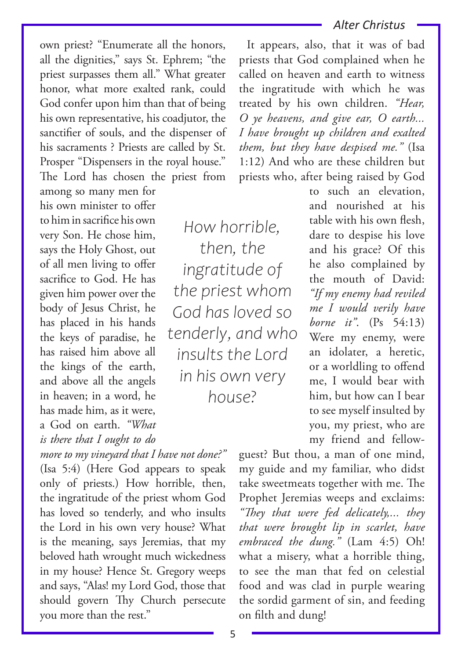own priest? "Enumerate all the honors, all the dignities," says St. Ephrem; "the priest surpasses them all." What greater honor, what more exalted rank, could God confer upon him than that of being his own representative, his coadjutor, the sanctifier of souls, and the dispenser of his sacraments ? Priests are called by St. Prosper "Dispensers in the royal house." The Lord has chosen the priest from

among so many men for his own minister to offer to him in sacrifice his own very Son. He chose him, says the Holy Ghost, out of all men living to offer sacrifice to God. He has given him power over the body of Jesus Christ, he has placed in his hands the keys of paradise, he has raised him above all the kings of the earth, and above all the angels in heaven; in a word, he has made him, as it were, a God on earth. *"What is there that I ought to do* 

*more to my vineyard that I have not done?"* (Isa 5:4) (Here God appears to speak only of priests.) How horrible, then, the ingratitude of the priest whom God has loved so tenderly, and who insults the Lord in his own very house? What is the meaning, says Jeremias, that my beloved hath wrought much wickedness in my house? Hence St. Gregory weeps and says, "Alas! my Lord God, those that should govern Thy Church persecute you more than the rest."

*How horrible, then, the ingratitude of the priest whom God has loved so tenderly, and who insults the Lord in his own very house?*

## *Alter Christus*

It appears, also, that it was of bad priests that God complained when he called on heaven and earth to witness the ingratitude with which he was treated by his own children. *"Hear, O ye heavens, and give ear, O earth... I have brought up children and exalted them, but they have despised me."* (Isa 1:12) And who are these children but priests who, after being raised by God

> to such an elevation, and nourished at his table with his own flesh, dare to despise his love and his grace? Of this he also complained by the mouth of David: *"If my enemy had reviled me I would verily have borne it"*. (Ps 54:13) Were my enemy, were an idolater, a heretic, or a worldling to offend me, I would bear with him, but how can I bear to see myself insulted by you, my priest, who are my friend and fellow-

guest? But thou, a man of one mind, my guide and my familiar, who didst take sweetmeats together with me. The Prophet Jeremias weeps and exclaims: *"They that were fed delicately,... they that were brought lip in scarlet, have embraced the dung."* (Lam 4:5) Oh! what a misery, what a horrible thing, to see the man that fed on celestial food and was clad in purple wearing the sordid garment of sin, and feeding on filth and dung!

5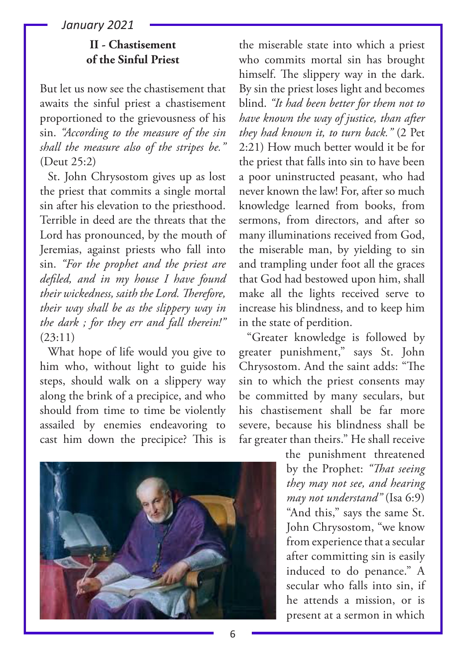# **II - Chastisement of the Sinful Priest**

But let us now see the chastisement that awaits the sinful priest a chastisement proportioned to the grievousness of his sin. *"According to the measure of the sin shall the measure also of the stripes be."* (Deut 25:2)

St. John Chrysostom gives up as lost the priest that commits a single mortal sin after his elevation to the priesthood. Terrible in deed are the threats that the Lord has pronounced, by the mouth of Jeremias, against priests who fall into sin. *"For the prophet and the priest are defiled, and in my house I have found their wickedness, saith the Lord. Therefore, their way shall be as the slippery way in the dark ; for they err and fall therein!"* (23:11)

What hope of life would you give to him who, without light to guide his steps, should walk on a slippery way along the brink of a precipice, and who should from time to time be violently assailed by enemies endeavoring to cast him down the precipice? This is



the miserable state into which a priest who commits mortal sin has brought himself. The slippery way in the dark. By sin the priest loses light and becomes blind. *"It had been better for them not to have known the way of justice, than after they had known it, to turn back."* (2 Pet 2:21) How much better would it be for the priest that falls into sin to have been a poor uninstructed peasant, who had never known the law! For, after so much knowledge learned from books, from sermons, from directors, and after so many illuminations received from God, the miserable man, by yielding to sin and trampling under foot all the graces that God had bestowed upon him, shall make all the lights received serve to increase his blindness, and to keep him in the state of perdition.

"Greater knowledge is followed by greater punishment," says St. John Chrysostom. And the saint adds: "The sin to which the priest consents may be committed by many seculars, but his chastisement shall be far more severe, because his blindness shall be far greater than theirs." He shall receive

> the punishment threatened by the Prophet: *"That seeing they may not see, and hearing may not understand"* (Isa 6:9) "And this," says the same St. John Chrysostom, "we know from experience that a secular after committing sin is easily induced to do penance." A secular who falls into sin, if he attends a mission, or is present at a sermon in which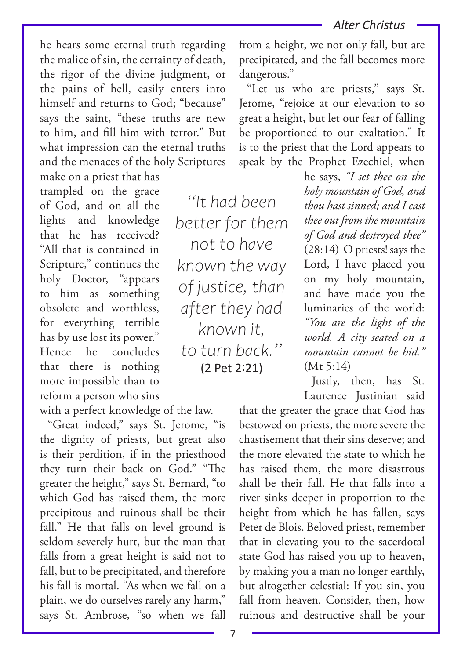he hears some eternal truth regarding the malice of sin, the certainty of death, the rigor of the divine judgment, or the pains of hell, easily enters into himself and returns to God: "because" says the saint, "these truths are new to him, and fill him with terror." But what impression can the eternal truths and the menaces of the holy Scriptures make on a priest that has

trampled on the grace of God, and on all the lights and knowledge that he has received? "All that is contained in Scripture," continues the holy Doctor, "appears to him as something obsolete and worthless, for everything terrible has by use lost its power." Hence he concludes that there is nothing more impossible than to reform a person who sins

with a perfect knowledge of the law.

"Great indeed," says St. Jerome, "is the dignity of priests, but great also is their perdition, if in the priesthood they turn their back on God." "The greater the height," says St. Bernard, "to which God has raised them, the more precipitous and ruinous shall be their fall." He that falls on level ground is seldom severely hurt, but the man that falls from a great height is said not to fall, but to be precipitated, and therefore his fall is mortal. "As when we fall on a plain, we do ourselves rarely any harm," says St. Ambrose, "so when we fall

from a height, we not only fall, but are precipitated, and the fall becomes more dangerous."

"Let us who are priests," says St. Jerome, "rejoice at our elevation to so great a height, but let our fear of falling be proportioned to our exaltation." It is to the priest that the Lord appears to speak by the Prophet Ezechiel, when

*"It had been better for them not to have known the way of justice, than after they had known it, to turn back."*  (2 Pet 2:21)

he says, *"I set thee on the holy mountain of God, and thou hast sinned; and I cast thee out from the mountain of God and destroyed thee"* (28:14) O priests! says the Lord, I have placed you on my holy mountain, and have made you the luminaries of the world: *"You are the light of the world. A city seated on a mountain cannot be hid."*  $(Mt 5:14)$ 

Justly, then, has St. Laurence Justinian said

that the greater the grace that God has bestowed on priests, the more severe the chastisement that their sins deserve; and the more elevated the state to which he has raised them, the more disastrous shall be their fall. He that falls into a river sinks deeper in proportion to the height from which he has fallen, says Peter de Blois. Beloved priest, remember that in elevating you to the sacerdotal state God has raised you up to heaven, by making you a man no longer earthly, but altogether celestial: If you sin, you fall from heaven. Consider, then, how ruinous and destructive shall be your

7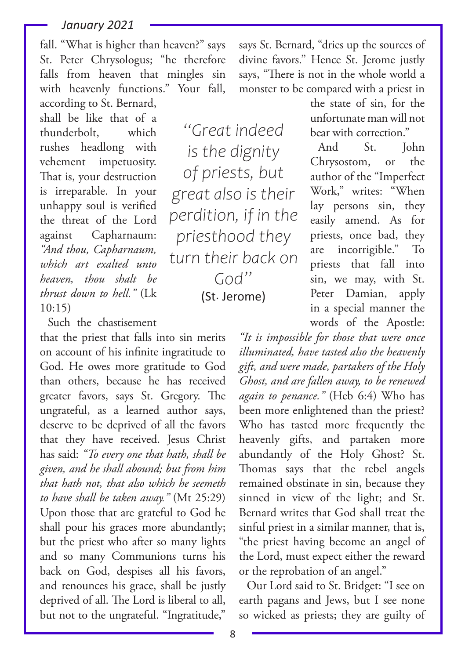fall. "What is higher than heaven?" says St. Peter Chrysologus; "he therefore falls from heaven that mingles sin with heavenly functions." Your fall, according to St. Bernard,

shall be like that of a thunderbolt, which rushes headlong with vehement impetuosity. That is, your destruction is irreparable. In your unhappy soul is verified the threat of the Lord against Capharnaum: *"And thou, Capharnaum, which art exalted unto heaven, thou shalt be thrust down to hell."* (Lk  $10:15$ 

Such the chastisement

that the priest that falls into sin merits on account of his infinite ingratitude to God. He owes more gratitude to God than others, because he has received greater favors, says St. Gregory. The ungrateful, as a learned author says, deserve to be deprived of all the favors that they have received. Jesus Christ has said: *"To every one that hath, shall be given, and he shall abound; but from him that hath not, that also which he seemeth to have shall be taken away."* (Mt 25:29) Upon those that are grateful to God he shall pour his graces more abundantly; but the priest who after so many lights and so many Communions turns his back on God, despises all his favors, and renounces his grace, shall be justly deprived of all. The Lord is liberal to all, but not to the ungrateful. "Ingratitude,"

says St. Bernard, "dries up the sources of divine favors." Hence St. Jerome justly says, "There is not in the whole world a monster to be compared with a priest in

*"Great indeed is the dignity of priests, but great also is their perdition, if in the priesthood they turn their back on God"*  (St. Jerome)

the state of sin, for the unfortunate man will not bear with correction."

And St. John Chrysostom, or the author of the "Imperfect Work," writes: "When lay persons sin, they easily amend. As for priests, once bad, they are incorrigible." To priests that fall into sin, we may, with St. Peter Damian, apply in a special manner the words of the Apostle:

*"It is impossible for those that were once illuminated, have tasted also the heavenly gift, and were made, partakers of the Holy Ghost, and are fallen away, to be renewed again to penance."* (Heb 6:4) Who has been more enlightened than the priest? Who has tasted more frequently the heavenly gifts, and partaken more abundantly of the Holy Ghost? St. Thomas says that the rebel angels remained obstinate in sin, because they sinned in view of the light; and St. Bernard writes that God shall treat the sinful priest in a similar manner, that is, "the priest having become an angel of the Lord, must expect either the reward or the reprobation of an angel."

Our Lord said to St. Bridget: "I see on earth pagans and Jews, but I see none so wicked as priests; they are guilty of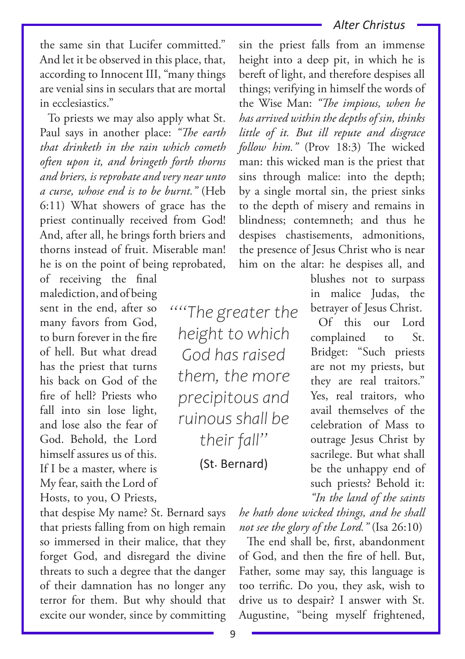the same sin that Lucifer committed." And let it be observed in this place, that, according to Innocent III, "many things are venial sins in seculars that are mortal in ecclesiastics."

To priests we may also apply what St. Paul says in another place: *"The earth that drinketh in the rain which cometh often upon it, and bringeth forth thorns and briers, is reprobate and very near unto a curse, whose end is to be burnt."* (Heb 6:11) What showers of grace has the priest continually received from God! And, after all, he brings forth briers and thorns instead of fruit. Miserable man! he is on the point of being reprobated,

of receiving the final malediction, and of being sent in the end, after so many favors from God, to burn forever in the fire of hell. But what dread has the priest that turns his back on God of the fire of hell? Priests who fall into sin lose light, and lose also the fear of God. Behold, the Lord himself assures us of this. If I be a master, where is My fear, saith the Lord of Hosts, to you, O Priests,

that despise My name? St. Bernard says that priests falling from on high remain so immersed in their malice, that they forget God, and disregard the divine threats to such a degree that the danger of their damnation has no longer any terror for them. But why should that excite our wonder, since by committing

*""The greater the height to which God has raised them, the more precipitous and ruinous shall be their fall"*

(St. Bernard)

sin the priest falls from an immense height into a deep pit, in which he is bereft of light, and therefore despises all things; verifying in himself the words of the Wise Man: *"The impious, when he has arrived within the depths of sin, thinks little of it. But ill repute and disgrace follow him."* (Prov 18:3) The wicked man: this wicked man is the priest that sins through malice: into the depth; by a single mortal sin, the priest sinks to the depth of misery and remains in blindness; contemneth; and thus he despises chastisements, admonitions, the presence of Jesus Christ who is near him on the altar: he despises all, and

> blushes not to surpass in malice Judas, the betrayer of Jesus Christ.

Of this our Lord complained to St. Bridget: "Such priests are not my priests, but they are real traitors." Yes, real traitors, who avail themselves of the celebration of Mass to outrage Jesus Christ by sacrilege. But what shall be the unhappy end of such priests? Behold it: *"In the land of the saints* 

*he hath done wicked things, and he shall not see the glory of the Lord."* (Isa 26:10)

The end shall be, first, abandonment of God, and then the fire of hell. But, Father, some may say, this language is too terrific. Do you, they ask, wish to drive us to despair? I answer with St. Augustine, "being myself frightened,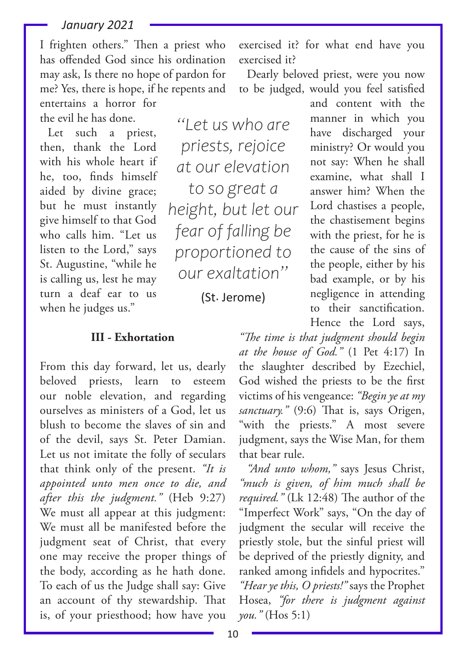I frighten others." Then a priest who has offended God since his ordination may ask, Is there no hope of pardon for me? Yes, there is hope, if he repents and entertains a horror for the evil he has done.

Let such a priest, then, thank the Lord with his whole heart if he, too, finds himself aided by divine grace; but he must instantly give himself to that God who calls him. "Let us listen to the Lord," says St. Augustine, "while he is calling us, lest he may turn a deaf ear to us when he judges us."

*"Let us who are priests, rejoice at our elevation to so great a height, but let our fear of falling be proportioned to our exaltation"*

(St. Jerome)

### **III - Exhortation**

From this day forward, let us, dearly beloved priests, learn to esteem our noble elevation, and regarding ourselves as ministers of a God, let us blush to become the slaves of sin and of the devil, says St. Peter Damian. Let us not imitate the folly of seculars that think only of the present. *"It is appointed unto men once to die, and after this the judgment."* (Heb 9:27) We must all appear at this judgment: We must all be manifested before the judgment seat of Christ, that every one may receive the proper things of the body, according as he hath done. To each of us the Judge shall say: Give an account of thy stewardship. That is, of your priesthood; how have you

exercised it? for what end have you exercised it?

Dearly beloved priest, were you now to be judged, would you feel satisfied

manner in which you have discharged your ministry? Or would you not say: When he shall examine, what shall I answer him? When the Lord chastises a people, the chastisement begins with the priest, for he is the cause of the sins of the people, either by his bad example, or by his negligence in attending to their sanctification. Hence the Lord says,

and content with the

*"The time is that judgment should begin at the house of God."* (1 Pet 4:17) In the slaughter described by Ezechiel, God wished the priests to be the first victims of his vengeance: *"Begin ye at my sanctuary."* (9:6) That is, says Origen, "with the priests." A most severe judgment, says the Wise Man, for them that bear rule.

*"And unto whom,"* says Jesus Christ, *"much is given, of him much shall be required."* (Lk 12:48) The author of the "Imperfect Work" says, "On the day of judgment the secular will receive the priestly stole, but the sinful priest will be deprived of the priestly dignity, and ranked among infidels and hypocrites." *"Hear ye this, O priests!"* says the Prophet

Hosea, *"for there is judgment against you."* (Hos 5:1)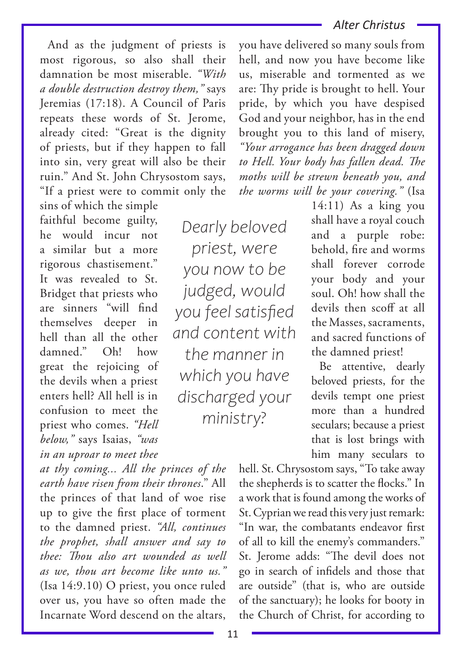And as the judgment of priests is most rigorous, so also shall their damnation be most miserable. *"With a double destruction destroy them,"* says Jeremias (17:18). A Council of Paris repeats these words of St. Jerome, already cited: "Great is the dignity of priests, but if they happen to fall into sin, very great will also be their ruin." And St. John Chrysostom says, "If a priest were to commit only the sins of which the simple

faithful become guilty, he would incur not a similar but a more rigorous chastisement." It was revealed to St. Bridget that priests who are sinners "will find themselves deeper in hell than all the other damned." Oh! how great the rejoicing of the devils when a priest enters hell? All hell is in confusion to meet the priest who comes. *"Hell below,"* says Isaias, *"was in an uproar to meet thee* 

*at thy coming... All the princes of the earth have risen from their thrones*." All the princes of that land of woe rise up to give the first place of torment to the damned priest. *"All, continues the prophet, shall answer and say to thee: Thou also art wounded as well as we, thou art become like unto us."* (Isa 14:9.10) O priest, you once ruled over us, you have so often made the Incarnate Word descend on the altars,

*Dearly beloved priest, were you now to be judged, would you feel satisfied and content with the manner in which you have discharged your ministry?*

you have delivered so many souls from hell, and now you have become like us, miserable and tormented as we are: Thy pride is brought to hell. Your pride, by which you have despised God and your neighbor, has in the end brought you to this land of misery, *"Your arrogance has been dragged down to Hell. Your body has fallen dead. The moths will be strewn beneath you, and the worms will be your covering."* (Isa

 $14:11$ ) As a king you shall have a royal couch and a purple robe: behold, fire and worms shall forever corrode your body and your soul. Oh! how shall the devils then scoff at all the Masses, sacraments, and sacred functions of the damned priest!

Be attentive, dearly beloved priests, for the devils tempt one priest more than a hundred seculars; because a priest that is lost brings with him many seculars to

hell. St. Chrysostom says, "To take away the shepherds is to scatter the flocks." In a work that is found among the works of St. Cyprian we read this very just remark: "In war, the combatants endeavor first of all to kill the enemy's commanders." St. Jerome adds: "The devil does not go in search of infidels and those that are outside" (that is, who are outside of the sanctuary); he looks for booty in the Church of Christ, for according to